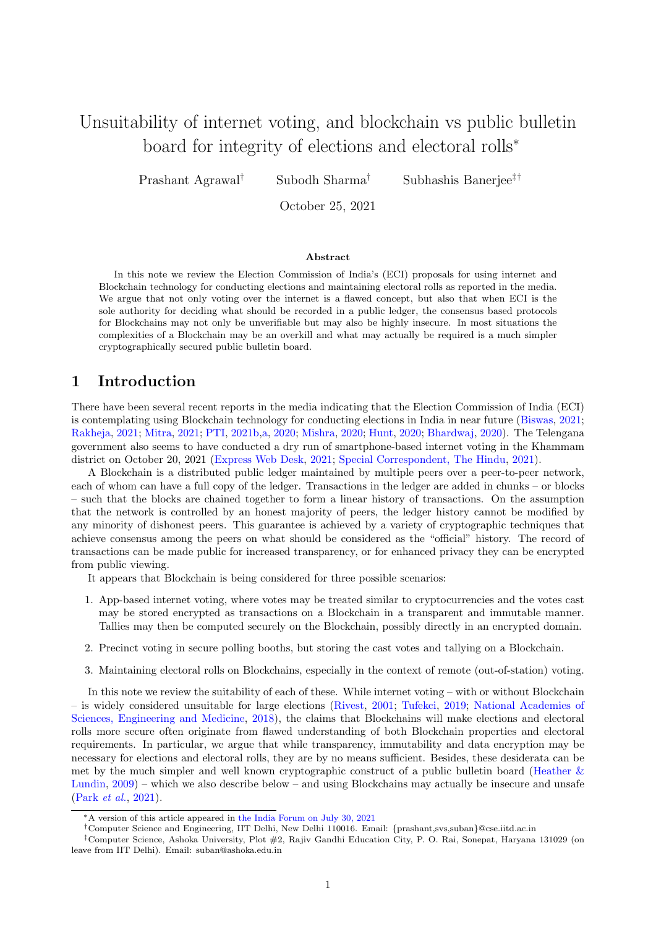# Unsuitability of internet voting, and blockchain vs public bulletin board for integrity of elections and electoral rolls<sup>∗</sup>

Prashant Agrawal† Subodh Sharma† Subhashis Banerjee‡†

October 25, 2021

#### Abstract

In this note we review the Election Commission of India's (ECI) proposals for using internet and Blockchain technology for conducting elections and maintaining electoral rolls as reported in the media. We argue that not only voting over the internet is a flawed concept, but also that when ECI is the sole authority for deciding what should be recorded in a public ledger, the consensus based protocols for Blockchains may not only be unverifiable but may also be highly insecure. In most situations the complexities of a Blockchain may be an overkill and what may actually be required is a much simpler cryptographically secured public bulletin board.

### 1 Introduction

There have been several recent reports in the media indicating that the Election Commission of India (ECI) is contemplating using Blockchain technology for conducting elections in India in near future [\(Biswas,](#page-4-0) [2021;](#page-4-0) [Rakheja,](#page-5-0) [2021;](#page-5-0) [Mitra,](#page-5-1) [2021;](#page-5-1) [PTI,](#page-5-2) [2021b,](#page-5-2)[a,](#page-5-3) [2020;](#page-5-4) [Mishra,](#page-5-5) [2020;](#page-5-5) [Hunt,](#page-5-6) [2020;](#page-5-6) [Bhardwaj,](#page-4-1) [2020\)](#page-4-1). The Telengana government also seems to have conducted a dry run of smartphone-based internet voting in the Khammam district on October 20, 2021 [\(Express Web Desk,](#page-5-7) [2021;](#page-5-7) [Special Correspondent, The Hindu,](#page-6-0) [2021\)](#page-6-0).

A Blockchain is a distributed public ledger maintained by multiple peers over a peer-to-peer network, each of whom can have a full copy of the ledger. Transactions in the ledger are added in chunks – or blocks – such that the blocks are chained together to form a linear history of transactions. On the assumption that the network is controlled by an honest majority of peers, the ledger history cannot be modified by any minority of dishonest peers. This guarantee is achieved by a variety of cryptographic techniques that achieve consensus among the peers on what should be considered as the "official" history. The record of transactions can be made public for increased transparency, or for enhanced privacy they can be encrypted from public viewing.

It appears that Blockchain is being considered for three possible scenarios:

- 1. App-based internet voting, where votes may be treated similar to cryptocurrencies and the votes cast may be stored encrypted as transactions on a Blockchain in a transparent and immutable manner. Tallies may then be computed securely on the Blockchain, possibly directly in an encrypted domain.
- 2. Precinct voting in secure polling booths, but storing the cast votes and tallying on a Blockchain.
- 3. Maintaining electoral rolls on Blockchains, especially in the context of remote (out-of-station) voting.

In this note we review the suitability of each of these. While internet voting – with or without Blockchain – is widely considered unsuitable for large elections [\(Rivest,](#page-5-8) [2001;](#page-5-8) [Tufekci,](#page-6-1) [2019;](#page-6-1) [National Academies of](#page-5-9) [Sciences, Engineering and Medicine,](#page-5-9) [2018\)](#page-5-9), the claims that Blockchains will make elections and electoral rolls more secure often originate from flawed understanding of both Blockchain properties and electoral requirements. In particular, we argue that while transparency, immutability and data encryption may be necessary for elections and electoral rolls, they are by no means sufficient. Besides, these desiderata can be met by the much simpler and well known cryptographic construct of a public bulletin board [\(Heather &](#page-5-10) [Lundin,](#page-5-10) [2009\)](#page-5-10) – which we also describe below – and using Blockchains may actually be insecure and unsafe (Park [et al.](#page-5-11), [2021\)](#page-5-11).

<sup>∗</sup>A version of this article appeared in [the India Forum on July 30, 2021](https://www.theindiaforum.in/article/blockchain-vs-public-bulletin-board-integrity-elections-and-electoral-rolls)

<sup>†</sup>Computer Science and Engineering, IIT Delhi, New Delhi 110016. Email: {prashant,svs,suban}@cse.iitd.ac.in

<sup>‡</sup>Computer Science, Ashoka University, Plot #2, Rajiv Gandhi Education City, P. O. Rai, Sonepat, Haryana 131029 (on leave from IIT Delhi). Email: suban@ashoka.edu.in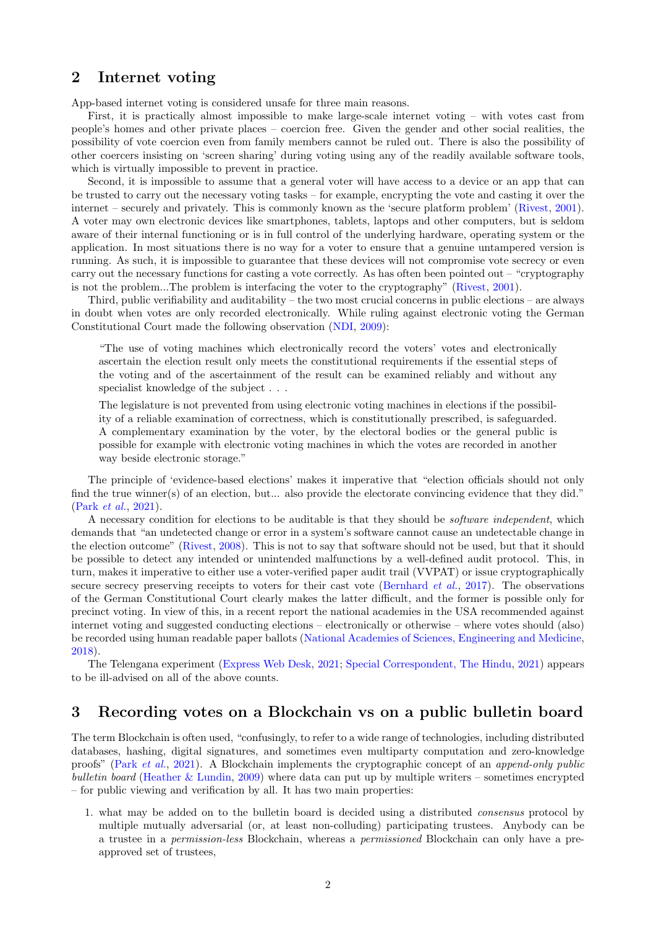### 2 Internet voting

App-based internet voting is considered unsafe for three main reasons.

First, it is practically almost impossible to make large-scale internet voting – with votes cast from people's homes and other private places – coercion free. Given the gender and other social realities, the possibility of vote coercion even from family members cannot be ruled out. There is also the possibility of other coercers insisting on 'screen sharing' during voting using any of the readily available software tools, which is virtually impossible to prevent in practice.

Second, it is impossible to assume that a general voter will have access to a device or an app that can be trusted to carry out the necessary voting tasks – for example, encrypting the vote and casting it over the internet – securely and privately. This is commonly known as the 'secure platform problem' [\(Rivest,](#page-5-8) [2001\)](#page-5-8). A voter may own electronic devices like smartphones, tablets, laptops and other computers, but is seldom aware of their internal functioning or is in full control of the underlying hardware, operating system or the application. In most situations there is no way for a voter to ensure that a genuine untampered version is running. As such, it is impossible to guarantee that these devices will not compromise vote secrecy or even carry out the necessary functions for casting a vote correctly. As has often been pointed out – "cryptography" is not the problem...The problem is interfacing the voter to the cryptography" [\(Rivest,](#page-5-8) [2001\)](#page-5-8).

Third, public verifiability and auditability – the two most crucial concerns in public elections – are always in doubt when votes are only recorded electronically. While ruling against electronic voting the German Constitutional Court made the following observation [\(NDI,](#page-5-12) [2009\)](#page-5-12):

"The use of voting machines which electronically record the voters' votes and electronically ascertain the election result only meets the constitutional requirements if the essential steps of the voting and of the ascertainment of the result can be examined reliably and without any specialist knowledge of the subject . . .

The legislature is not prevented from using electronic voting machines in elections if the possibility of a reliable examination of correctness, which is constitutionally prescribed, is safeguarded. A complementary examination by the voter, by the electoral bodies or the general public is possible for example with electronic voting machines in which the votes are recorded in another way beside electronic storage."

The principle of 'evidence-based elections' makes it imperative that "election officials should not only find the true winner(s) of an election, but... also provide the electorate convincing evidence that they did." (Park [et al.](#page-5-11), [2021\)](#page-5-11).

A necessary condition for elections to be auditable is that they should be software independent, which demands that "an undetected change or error in a system's software cannot cause an undetectable change in the election outcome" [\(Rivest,](#page-5-13) [2008\)](#page-5-13). This is not to say that software should not be used, but that it should be possible to detect any intended or unintended malfunctions by a well-defined audit protocol. This, in turn, makes it imperative to either use a voter-verified paper audit trail (VVPAT) or issue cryptographically secure secrecy preserving receipts to voters for their cast vote [\(Bernhard](#page-4-2) *et al.*, [2017\)](#page-4-2). The observations of the German Constitutional Court clearly makes the latter difficult, and the former is possible only for precinct voting. In view of this, in a recent report the national academies in the USA recommended against internet voting and suggested conducting elections – electronically or otherwise – where votes should (also) be recorded using human readable paper ballots [\(National Academies of Sciences, Engineering and Medicine,](#page-5-9) [2018\)](#page-5-9).

The Telengana experiment [\(Express Web Desk,](#page-5-7) [2021;](#page-5-7) [Special Correspondent, The Hindu,](#page-6-0) [2021\)](#page-6-0) appears to be ill-advised on all of the above counts.

### 3 Recording votes on a Blockchain vs on a public bulletin board

The term Blockchain is often used, "confusingly, to refer to a wide range of technologies, including distributed databases, hashing, digital signatures, and sometimes even multiparty computation and zero-knowledge proofs" (Park [et al.](#page-5-11), [2021\)](#page-5-11). A Blockchain implements the cryptographic concept of an append-only public bulletin board [\(Heather & Lundin,](#page-5-10) [2009\)](#page-5-10) where data can put up by multiple writers – sometimes encrypted – for public viewing and verification by all. It has two main properties:

1. what may be added on to the bulletin board is decided using a distributed consensus protocol by multiple mutually adversarial (or, at least non-colluding) participating trustees. Anybody can be a trustee in a permission-less Blockchain, whereas a permissioned Blockchain can only have a preapproved set of trustees,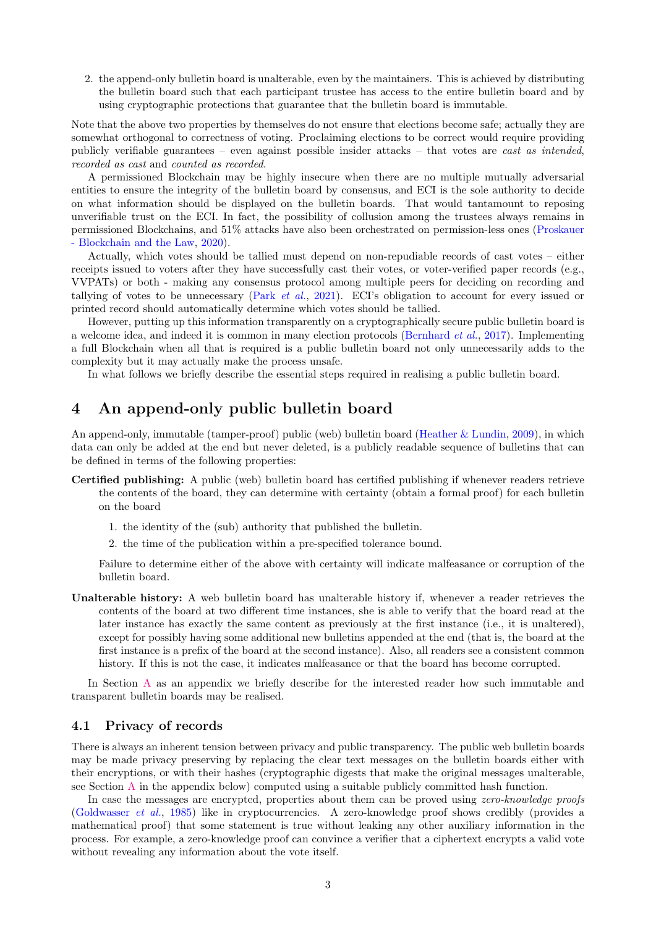2. the append-only bulletin board is unalterable, even by the maintainers. This is achieved by distributing the bulletin board such that each participant trustee has access to the entire bulletin board and by using cryptographic protections that guarantee that the bulletin board is immutable.

Note that the above two properties by themselves do not ensure that elections become safe; actually they are somewhat orthogonal to correctness of voting. Proclaiming elections to be correct would require providing publicly verifiable guarantees – even against possible insider attacks – that votes are *cast as intended*, recorded as cast and counted as recorded.

A permissioned Blockchain may be highly insecure when there are no multiple mutually adversarial entities to ensure the integrity of the bulletin board by consensus, and ECI is the sole authority to decide on what information should be displayed on the bulletin boards. That would tantamount to reposing unverifiable trust on the ECI. In fact, the possibility of collusion among the trustees always remains in permissioned Blockchains, and 51% attacks have also been orchestrated on permission-less ones [\(Proskauer](#page-5-14) [- Blockchain and the Law,](#page-5-14) [2020\)](#page-5-14).

Actually, which votes should be tallied must depend on non-repudiable records of cast votes – either receipts issued to voters after they have successfully cast their votes, or voter-verified paper records (e.g., VVPATs) or both - making any consensus protocol among multiple peers for deciding on recording and tallying of votes to be unnecessary (Park [et al.](#page-5-11), [2021\)](#page-5-11). ECI's obligation to account for every issued or printed record should automatically determine which votes should be tallied.

However, putting up this information transparently on a cryptographically secure public bulletin board is a welcome idea, and indeed it is common in many election protocols [\(Bernhard](#page-4-2) et al., [2017\)](#page-4-2). Implementing a full Blockchain when all that is required is a public bulletin board not only unnecessarily adds to the complexity but it may actually make the process unsafe.

In what follows we briefly describe the essential steps required in realising a public bulletin board.

## 4 An append-only public bulletin board

An append-only, immutable (tamper-proof) public (web) bulletin board [\(Heather & Lundin,](#page-5-10) [2009\)](#page-5-10), in which data can only be added at the end but never deleted, is a publicly readable sequence of bulletins that can be defined in terms of the following properties:

- Certified publishing: A public (web) bulletin board has certified publishing if whenever readers retrieve the contents of the board, they can determine with certainty (obtain a formal proof) for each bulletin on the board
	- 1. the identity of the (sub) authority that published the bulletin.
	- 2. the time of the publication within a pre-specified tolerance bound.

Failure to determine either of the above with certainty will indicate malfeasance or corruption of the bulletin board.

Unalterable history: A web bulletin board has unalterable history if, whenever a reader retrieves the contents of the board at two different time instances, she is able to verify that the board read at the later instance has exactly the same content as previously at the first instance (i.e., it is unaltered), except for possibly having some additional new bulletins appended at the end (that is, the board at the first instance is a prefix of the board at the second instance). Also, all readers see a consistent common history. If this is not the case, it indicates malfeasance or that the board has become corrupted.

In Section [A](#page-4-3) as an appendix we briefly describe for the interested reader how such immutable and transparent bulletin boards may be realised.

#### 4.1 Privacy of records

There is always an inherent tension between privacy and public transparency. The public web bulletin boards may be made privacy preserving by replacing the clear text messages on the bulletin boards either with their encryptions, or with their hashes (cryptographic digests that make the original messages unalterable, see Section [A](#page-4-3) in the appendix below) computed using a suitable publicly committed hash function.

In case the messages are encrypted, properties about them can be proved using *zero-knowledge proofs* [\(Goldwasser](#page-5-15) et al., [1985\)](#page-5-15) like in cryptocurrencies. A zero-knowledge proof shows credibly (provides a mathematical proof) that some statement is true without leaking any other auxiliary information in the process. For example, a zero-knowledge proof can convince a verifier that a ciphertext encrypts a valid vote without revealing any information about the vote itself.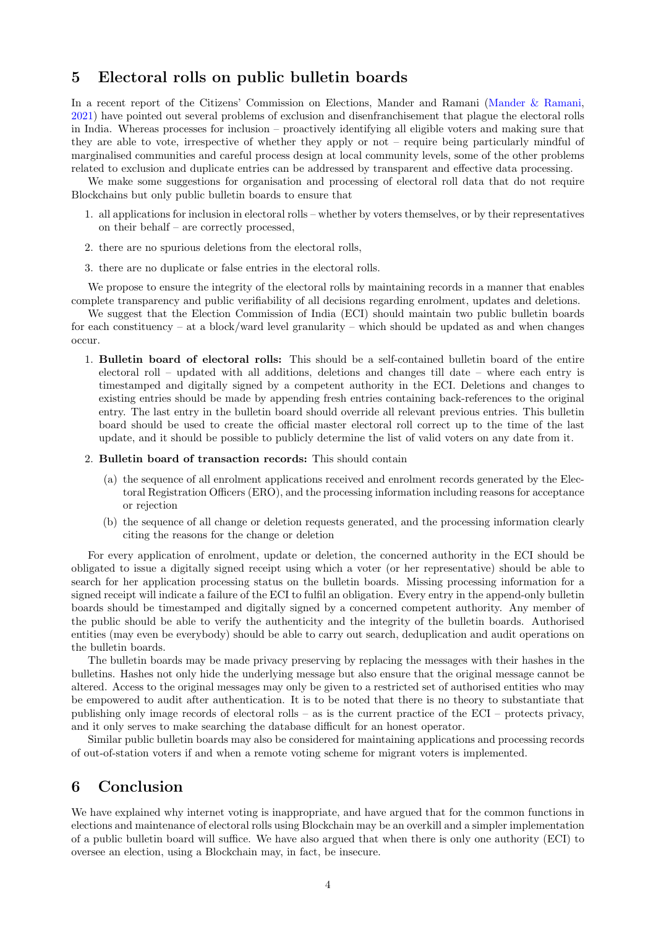# 5 Electoral rolls on public bulletin boards

In a recent report of the Citizens' Commission on Elections, Mander and Ramani [\(Mander & Ramani,](#page-5-16) [2021\)](#page-5-16) have pointed out several problems of exclusion and disenfranchisement that plague the electoral rolls in India. Whereas processes for inclusion – proactively identifying all eligible voters and making sure that they are able to vote, irrespective of whether they apply or not – require being particularly mindful of marginalised communities and careful process design at local community levels, some of the other problems related to exclusion and duplicate entries can be addressed by transparent and effective data processing.

We make some suggestions for organisation and processing of electoral roll data that do not require Blockchains but only public bulletin boards to ensure that

- 1. all applications for inclusion in electoral rolls whether by voters themselves, or by their representatives on their behalf – are correctly processed,
- 2. there are no spurious deletions from the electoral rolls,
- 3. there are no duplicate or false entries in the electoral rolls.

We propose to ensure the integrity of the electoral rolls by maintaining records in a manner that enables complete transparency and public verifiability of all decisions regarding enrolment, updates and deletions.

We suggest that the Election Commission of India (ECI) should maintain two public bulletin boards for each constituency – at a block/ward level granularity – which should be updated as and when changes occur.

- 1. Bulletin board of electoral rolls: This should be a self-contained bulletin board of the entire electoral roll – updated with all additions, deletions and changes till date – where each entry is timestamped and digitally signed by a competent authority in the ECI. Deletions and changes to existing entries should be made by appending fresh entries containing back-references to the original entry. The last entry in the bulletin board should override all relevant previous entries. This bulletin board should be used to create the official master electoral roll correct up to the time of the last update, and it should be possible to publicly determine the list of valid voters on any date from it.
- 2. Bulletin board of transaction records: This should contain
	- (a) the sequence of all enrolment applications received and enrolment records generated by the Electoral Registration Officers (ERO), and the processing information including reasons for acceptance or rejection
	- (b) the sequence of all change or deletion requests generated, and the processing information clearly citing the reasons for the change or deletion

For every application of enrolment, update or deletion, the concerned authority in the ECI should be obligated to issue a digitally signed receipt using which a voter (or her representative) should be able to search for her application processing status on the bulletin boards. Missing processing information for a signed receipt will indicate a failure of the ECI to fulfil an obligation. Every entry in the append-only bulletin boards should be timestamped and digitally signed by a concerned competent authority. Any member of the public should be able to verify the authenticity and the integrity of the bulletin boards. Authorised entities (may even be everybody) should be able to carry out search, deduplication and audit operations on the bulletin boards.

The bulletin boards may be made privacy preserving by replacing the messages with their hashes in the bulletins. Hashes not only hide the underlying message but also ensure that the original message cannot be altered. Access to the original messages may only be given to a restricted set of authorised entities who may be empowered to audit after authentication. It is to be noted that there is no theory to substantiate that publishing only image records of electoral rolls – as is the current practice of the ECI – protects privacy, and it only serves to make searching the database difficult for an honest operator.

Similar public bulletin boards may also be considered for maintaining applications and processing records of out-of-station voters if and when a remote voting scheme for migrant voters is implemented.

# 6 Conclusion

We have explained why internet voting is inappropriate, and have argued that for the common functions in elections and maintenance of electoral rolls using Blockchain may be an overkill and a simpler implementation of a public bulletin board will suffice. We have also argued that when there is only one authority (ECI) to oversee an election, using a Blockchain may, in fact, be insecure.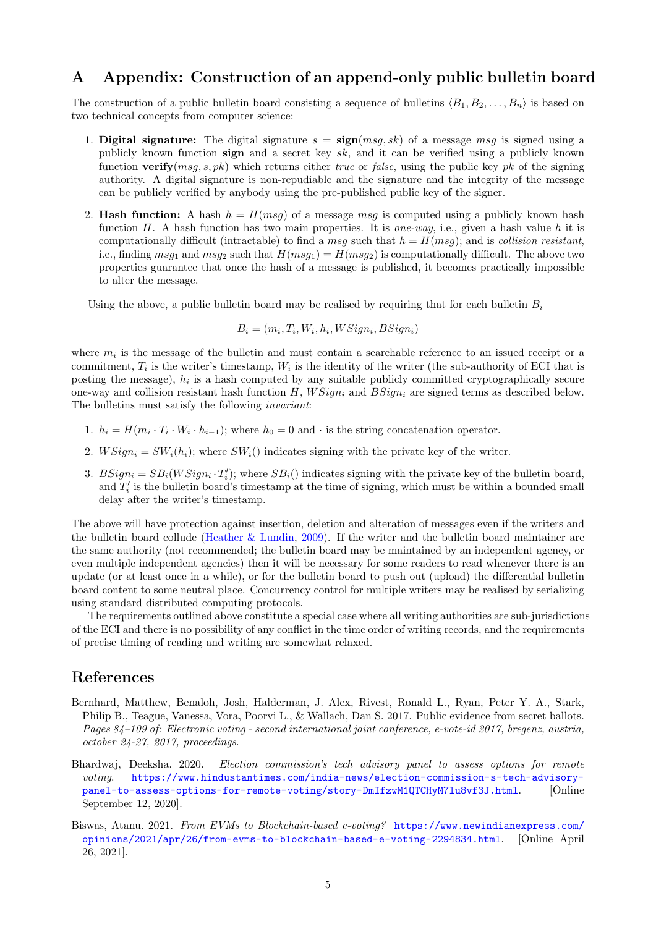# <span id="page-4-3"></span>A Appendix: Construction of an append-only public bulletin board

The construction of a public bulletin board consisting a sequence of bulletins  $\langle B_1, B_2, \ldots, B_n \rangle$  is based on two technical concepts from computer science:

- 1. Digital signature: The digital signature  $s = \text{sign}(msg, sk)$  of a message msg is signed using a publicly known function sign and a secret key sk, and it can be verified using a publicly known function **verify**(msg, s, pk) which returns either true or false, using the public key pk of the signing authority. A digital signature is non-repudiable and the signature and the integrity of the message can be publicly verified by anybody using the pre-published public key of the signer.
- 2. **Hash function:** A hash  $h = H(msg)$  of a message msg is computed using a publicly known hash function H. A hash function has two main properties. It is *one-way*, i.e., given a hash value h it is computationally difficult (intractable) to find a msq such that  $h = H(msq)$ ; and is collision resistant, i.e., finding  $msg_1$  and  $msg_2$  such that  $H(msg_1) = H(msg_2)$  is computationally difficult. The above two properties guarantee that once the hash of a message is published, it becomes practically impossible to alter the message.

Using the above, a public bulletin board may be realised by requiring that for each bulletin  $B_i$ 

$$
B_i = (m_i, T_i, W_i, h_i, WSign_i, BSign_i)
$$

where  $m_i$  is the message of the bulletin and must contain a searchable reference to an issued receipt or a commitment,  $T_i$  is the writer's timestamp,  $W_i$  is the identity of the writer (the sub-authority of ECI that is posting the message),  $h_i$  is a hash computed by any suitable publicly committed cryptographically secure one-way and collision resistant hash function H,  $WSign_i$  and  $BSign_i$  are signed terms as described below. The bulletins must satisfy the following invariant:

- 1.  $h_i = H(m_i \cdot T_i \cdot W_i \cdot h_{i-1})$ ; where  $h_0 = 0$  and  $\cdot$  is the string concatenation operator.
- 2.  $WSian_i = SW_i(h_i);$  where  $SW_i()$  indicates signing with the private key of the writer.
- 3.  $BSign_i = SB_i(WSign_i \cdot T'_i)$ ; where  $SB_i()$  indicates signing with the private key of the bulletin board, and  $T_i'$  is the bulletin board's timestamp at the time of signing, which must be within a bounded small delay after the writer's timestamp.

The above will have protection against insertion, deletion and alteration of messages even if the writers and the bulletin board collude [\(Heather & Lundin,](#page-5-10) [2009\)](#page-5-10). If the writer and the bulletin board maintainer are the same authority (not recommended; the bulletin board may be maintained by an independent agency, or even multiple independent agencies) then it will be necessary for some readers to read whenever there is an update (or at least once in a while), or for the bulletin board to push out (upload) the differential bulletin board content to some neutral place. Concurrency control for multiple writers may be realised by serializing using standard distributed computing protocols.

The requirements outlined above constitute a special case where all writing authorities are sub-jurisdictions of the ECI and there is no possibility of any conflict in the time order of writing records, and the requirements of precise timing of reading and writing are somewhat relaxed.

### References

- <span id="page-4-2"></span>Bernhard, Matthew, Benaloh, Josh, Halderman, J. Alex, Rivest, Ronald L., Ryan, Peter Y. A., Stark, Philip B., Teague, Vanessa, Vora, Poorvi L., & Wallach, Dan S. 2017. Public evidence from secret ballots. Pages 84–109 of: Electronic voting - second international joint conference, e-vote-id 2017, bregenz, austria, october 24-27, 2017, proceedings.
- <span id="page-4-1"></span>Bhardwaj, Deeksha. 2020. Election commission's tech advisory panel to assess options for remote voting. [https://www.hindustantimes.com/india-news/election-commission-s-tech-advisory](https://www.hindustantimes.com/india-news/election-commission-s-tech-advisory-panel-to-assess-options-for-remote-voting/story-DmIfzwM1QTCHyM7lu8vf3J.html)[panel-to-assess-options-for-remote-voting/story-DmIfzwM1QTCHyM7lu8vf3J.html](https://www.hindustantimes.com/india-news/election-commission-s-tech-advisory-panel-to-assess-options-for-remote-voting/story-DmIfzwM1QTCHyM7lu8vf3J.html). [Online September 12, 2020].
- <span id="page-4-0"></span>Biswas, Atanu. 2021. From EVMs to Blockchain-based e-voting? [https://www.newindianexpress.com/](https://www.newindianexpress.com/opinions/2021/apr/26/from-evms-to-blockchain-based-e-voting-2294834.html) [opinions/2021/apr/26/from-evms-to-blockchain-based-e-voting-2294834.html](https://www.newindianexpress.com/opinions/2021/apr/26/from-evms-to-blockchain-based-e-voting-2294834.html). [Online April 26, 2021].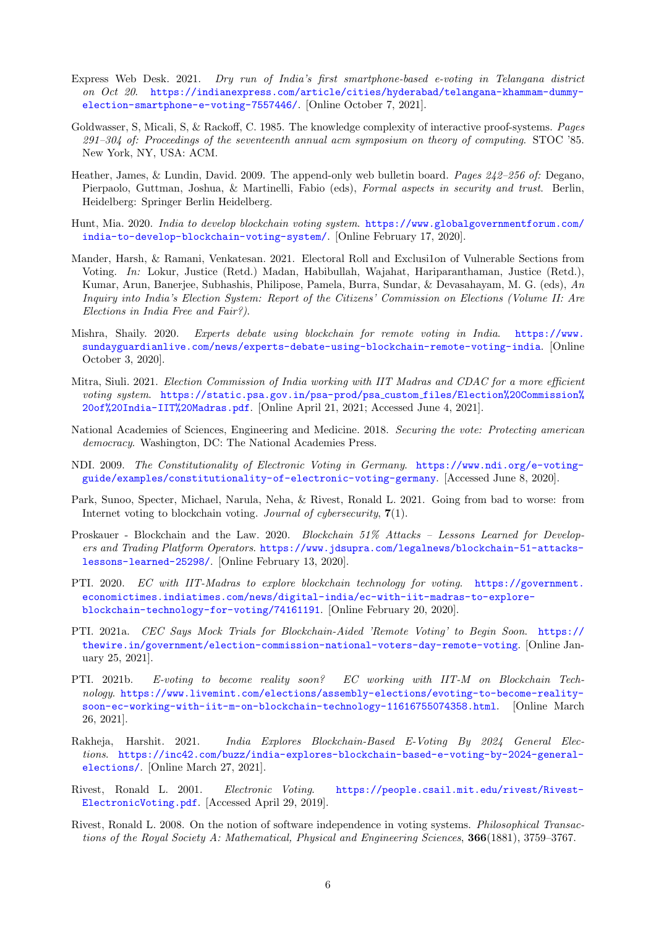- <span id="page-5-7"></span>Express Web Desk. 2021. Dry run of India's first smartphone-based e-voting in Telangana district on Oct 20. [https://indianexpress.com/article/cities/hyderabad/telangana-khammam-dummy](https://indianexpress.com/article/cities/hyderabad/telangana-khammam-dummy-election-smartphone-e-voting-7557446/)[election-smartphone-e-voting-7557446/](https://indianexpress.com/article/cities/hyderabad/telangana-khammam-dummy-election-smartphone-e-voting-7557446/). [Online October 7, 2021].
- <span id="page-5-15"></span>Goldwasser, S, Micali, S, & Rackoff, C. 1985. The knowledge complexity of interactive proof-systems. Pages 291–304 of: Proceedings of the seventeenth annual acm symposium on theory of computing. STOC '85. New York, NY, USA: ACM.
- <span id="page-5-10"></span>Heather, James, & Lundin, David. 2009. The append-only web bulletin board. *Pages 242–256 of:* Degano, Pierpaolo, Guttman, Joshua, & Martinelli, Fabio (eds), Formal aspects in security and trust. Berlin, Heidelberg: Springer Berlin Heidelberg.
- <span id="page-5-6"></span>Hunt, Mia. 2020. India to develop blockchain voting system. [https://www.globalgovernmentforum.com/](https://www.globalgovernmentforum.com/india-to-develop-blockchain-voting-system/) [india-to-develop-blockchain-voting-system/](https://www.globalgovernmentforum.com/india-to-develop-blockchain-voting-system/). [Online February 17, 2020].
- <span id="page-5-16"></span>Mander, Harsh, & Ramani, Venkatesan. 2021. Electoral Roll and Exclusi1on of Vulnerable Sections from Voting. In: Lokur, Justice (Retd.) Madan, Habibullah, Wajahat, Hariparanthaman, Justice (Retd.), Kumar, Arun, Banerjee, Subhashis, Philipose, Pamela, Burra, Sundar, & Devasahayam, M. G. (eds), An Inquiry into India's Election System: Report of the Citizens' Commission on Elections (Volume II: Are Elections in India Free and Fair?).
- <span id="page-5-5"></span>Mishra, Shaily. 2020. Experts debate using blockchain for remote voting in India. [https://www.](https://www.sundayguardianlive.com/news/experts-debate-using-blockchain-remote-voting-india) [sundayguardianlive.com/news/experts-debate-using-blockchain-remote-voting-india](https://www.sundayguardianlive.com/news/experts-debate-using-blockchain-remote-voting-india). [Online October 3, 2020].
- <span id="page-5-1"></span>Mitra, Siuli. 2021. Election Commission of India working with IIT Madras and CDAC for a more efficient voting system. [https://static.psa.gov.in/psa-prod/psa](https://static.psa.gov.in/psa-prod/psa_custom_files/Election%20Commission%20of%20India-IIT%20Madras.pdf)\_custom\_files/Election%20Commission% [20of%20India-IIT%20Madras.pdf](https://static.psa.gov.in/psa-prod/psa_custom_files/Election%20Commission%20of%20India-IIT%20Madras.pdf). [Online April 21, 2021; Accessed June 4, 2021].
- <span id="page-5-9"></span>National Academies of Sciences, Engineering and Medicine. 2018. Securing the vote: Protecting american democracy. Washington, DC: The National Academies Press.
- <span id="page-5-12"></span>NDI. 2009. The Constitutionality of Electronic Voting in Germany. [https://www.ndi.org/e-voting](https://www.ndi.org/e-voting-guide/examples/constitutionality-of-electronic-voting-germany)[guide/examples/constitutionality-of-electronic-voting-germany](https://www.ndi.org/e-voting-guide/examples/constitutionality-of-electronic-voting-germany). [Accessed June 8, 2020].
- <span id="page-5-11"></span>Park, Sunoo, Specter, Michael, Narula, Neha, & Rivest, Ronald L. 2021. Going from bad to worse: from Internet voting to blockchain voting. *Journal of cybersecurity*,  $7(1)$ .
- <span id="page-5-14"></span>Proskauer - Blockchain and the Law. 2020. Blockchain 51% Attacks – Lessons Learned for Developers and Trading Platform Operators. [https://www.jdsupra.com/legalnews/blockchain-51-attacks](https://www.jdsupra.com/legalnews/blockchain-51-attacks-lessons-learned-25298/)[lessons-learned-25298/](https://www.jdsupra.com/legalnews/blockchain-51-attacks-lessons-learned-25298/). [Online February 13, 2020].
- <span id="page-5-4"></span>PTI. 2020. EC with IIT-Madras to explore blockchain technology for voting. [https://government.](https://government.economictimes.indiatimes.com/news/digital-india/ec-with-iit-madras-to-explore-blockchain-technology-for-voting/74161191) [economictimes.indiatimes.com/news/digital-india/ec-with-iit-madras-to-explore](https://government.economictimes.indiatimes.com/news/digital-india/ec-with-iit-madras-to-explore-blockchain-technology-for-voting/74161191)[blockchain-technology-for-voting/74161191](https://government.economictimes.indiatimes.com/news/digital-india/ec-with-iit-madras-to-explore-blockchain-technology-for-voting/74161191). [Online February 20, 2020].
- <span id="page-5-3"></span>PTI. 2021a. CEC Says Mock Trials for Blockchain-Aided 'Remote Voting' to Begin Soon. [https://](https://thewire.in/government/election-commission-national-voters-day-remote-voting) [thewire.in/government/election-commission-national-voters-day-remote-voting](https://thewire.in/government/election-commission-national-voters-day-remote-voting). [Online January 25, 2021].
- <span id="page-5-2"></span>PTI. 2021b. E-voting to become reality soon? EC working with IIT-M on Blockchain Technology. [https://www.livemint.com/elections/assembly-elections/evoting-to-become-reality](https://www.livemint.com/elections/assembly-elections/evoting-to-become-reality-soon-ec-working-with-iit-m-on-blockchain-technology-11616755074358.html)[soon-ec-working-with-iit-m-on-blockchain-technology-11616755074358.html](https://www.livemint.com/elections/assembly-elections/evoting-to-become-reality-soon-ec-working-with-iit-m-on-blockchain-technology-11616755074358.html). [Online March 26, 2021].
- <span id="page-5-0"></span>Rakheja, Harshit. 2021. India Explores Blockchain-Based E-Voting By 2024 General Elections. [https://inc42.com/buzz/india-explores-blockchain-based-e-voting-by-2024-general](https://inc42.com/buzz/india-explores-blockchain-based-e-voting-by-2024-general-elections/)[elections/](https://inc42.com/buzz/india-explores-blockchain-based-e-voting-by-2024-general-elections/). [Online March 27, 2021].
- <span id="page-5-8"></span>Rivest, Ronald L. 2001. Electronic Voting. [https://people.csail.mit.edu/rivest/Rivest-](https://people.csail.mit.edu/rivest/Rivest-ElectronicVoting.pdf)[ElectronicVoting.pdf](https://people.csail.mit.edu/rivest/Rivest-ElectronicVoting.pdf). [Accessed April 29, 2019].
- <span id="page-5-13"></span>Rivest, Ronald L. 2008. On the notion of software independence in voting systems. Philosophical Transactions of the Royal Society A: Mathematical, Physical and Engineering Sciences, 366(1881), 3759–3767.